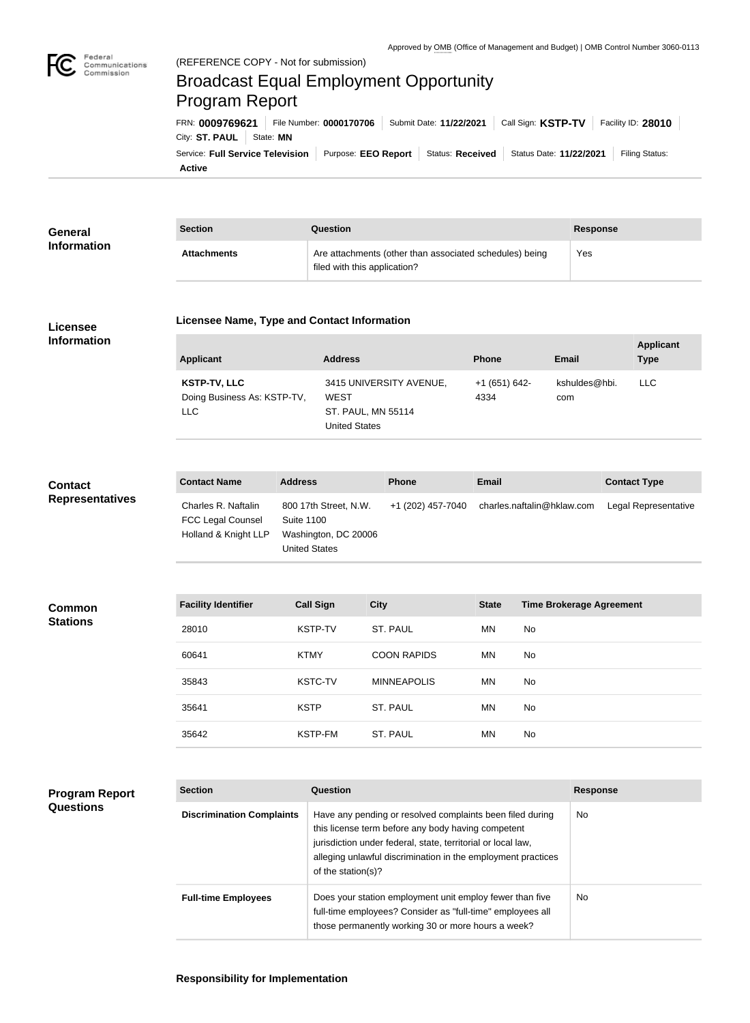

# Broadcast Equal Employment Opportunity Program Report

**Active** Service: Full Service Television | Purpose: EEO Report | Status: Received | Status Date: 11/22/2021 | Filing Status: City: **ST. PAUL** | State: MN FRN: **0009769621** File Number: **0000170706** Submit Date: **11/22/2021** Call Sign: **KSTP-TV** Facility ID: **28010**

| General<br><b>Information</b> | <b>Section</b>     | Question                                                                                | <b>Response</b> |
|-------------------------------|--------------------|-----------------------------------------------------------------------------------------|-----------------|
|                               | <b>Attachments</b> | Are attachments (other than associated schedules) being<br>filed with this application? | Yes             |

### **Licensee Information**

#### **Licensee Name, Type and Contact Information**

| Applicant                                          | <b>Address</b>                                    | <b>Phone</b>          | Email                | <b>Applicant</b><br><b>Type</b> |
|----------------------------------------------------|---------------------------------------------------|-----------------------|----------------------|---------------------------------|
| <b>KSTP-TV, LLC</b><br>Doing Business As: KSTP-TV, | 3415 UNIVERSITY AVENUE,<br><b>WEST</b>            | +1 (651) 642-<br>4334 | kshuldes@hbi.<br>com | LLC.                            |
| <b>LLC</b>                                         | <b>ST. PAUL, MN 55114</b><br><b>United States</b> |                       |                      |                                 |

## **Contact Representatives**

| <b>Contact Name</b>      | <b>Address</b>        | <b>Phone</b>      | Email                      | <b>Contact Type</b>  |
|--------------------------|-----------------------|-------------------|----------------------------|----------------------|
| Charles R. Naftalin      | 800 17th Street, N.W. | +1 (202) 457-7040 | charles.naftalin@hklaw.com | Legal Representative |
| <b>FCC Legal Counsel</b> | Suite 1100            |                   |                            |                      |
| Holland & Knight LLP     | Washington, DC 20006  |                   |                            |                      |
|                          | United States         |                   |                            |                      |

| <b>Common</b><br><b>Stations</b> | <b>Facility Identifier</b> | <b>Call Sign</b> | <b>City</b>        | <b>State</b> | <b>Time Brokerage Agreement</b> |
|----------------------------------|----------------------------|------------------|--------------------|--------------|---------------------------------|
|                                  | 28010                      | KSTP-TV          | ST. PAUL           | MN           | No                              |
|                                  | 60641                      | <b>KTMY</b>      | <b>COON RAPIDS</b> | MN           | No                              |
|                                  | 35843                      | <b>KSTC-TV</b>   | <b>MINNEAPOLIS</b> | MN           | No                              |
|                                  | 35641                      | <b>KSTP</b>      | ST. PAUL           | MN           | No                              |
|                                  | 35642                      | KSTP-FM          | ST. PAUL           | MN           | No                              |
|                                  |                            |                  |                    |              |                                 |

## **Program Report Questions**

| <b>Section</b>                   | Question                                                                                                                                                                                                                                                              | <b>Response</b> |
|----------------------------------|-----------------------------------------------------------------------------------------------------------------------------------------------------------------------------------------------------------------------------------------------------------------------|-----------------|
| <b>Discrimination Complaints</b> | Have any pending or resolved complaints been filed during<br>this license term before any body having competent<br>jurisdiction under federal, state, territorial or local law,<br>alleging unlawful discrimination in the employment practices<br>of the station(s)? | <b>No</b>       |
| <b>Full-time Employees</b>       | Does your station employment unit employ fewer than five<br>full-time employees? Consider as "full-time" employees all<br>those permanently working 30 or more hours a week?                                                                                          | No.             |